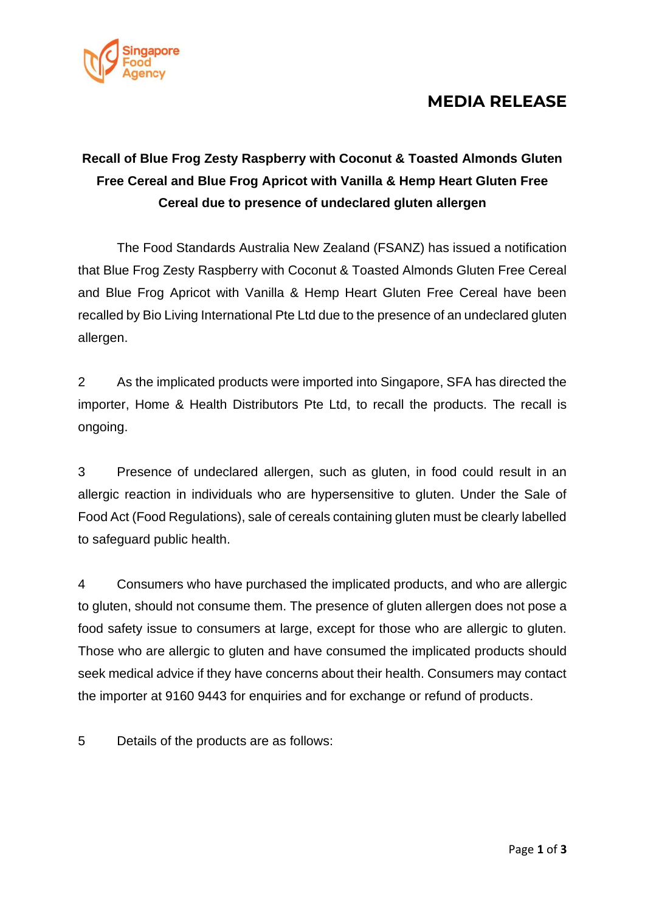

### **MEDIA RELEASE**

## **Recall of Blue Frog Zesty Raspberry with Coconut & Toasted Almonds Gluten Free Cereal and Blue Frog Apricot with Vanilla & Hemp Heart Gluten Free Cereal due to presence of undeclared gluten allergen**

The Food Standards Australia New Zealand (FSANZ) has issued a notification that Blue Frog Zesty Raspberry with Coconut & Toasted Almonds Gluten Free Cereal and Blue Frog Apricot with Vanilla & Hemp Heart Gluten Free Cereal have been recalled by Bio Living International Pte Ltd due to the presence of an undeclared gluten allergen.

2 As the implicated products were imported into Singapore, SFA has directed the importer, Home & Health Distributors Pte Ltd, to recall the products. The recall is ongoing.

3 Presence of undeclared allergen, such as gluten, in food could result in an allergic reaction in individuals who are hypersensitive to gluten. Under the Sale of Food Act (Food Regulations), sale of cereals containing gluten must be clearly labelled to safeguard public health.

4 Consumers who have purchased the implicated products, and who are allergic to gluten, should not consume them. The presence of gluten allergen does not pose a food safety issue to consumers at large, except for those who are allergic to gluten. Those who are allergic to gluten and have consumed the implicated products should seek medical advice if they have concerns about their health. Consumers may contact the importer at 9160 9443 for enquiries and for exchange or refund of products.

5 Details of the products are as follows: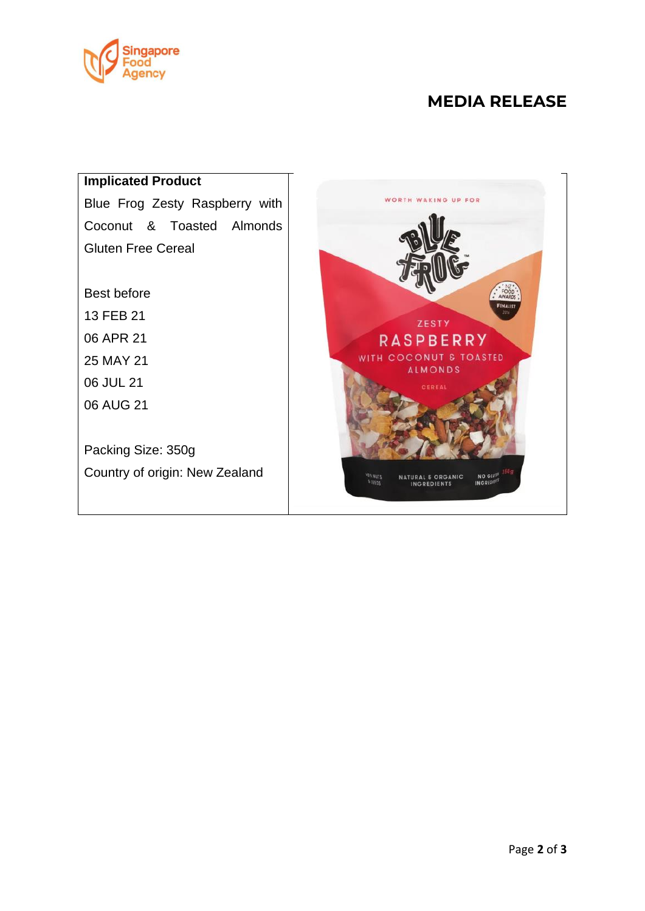

#### **MEDIA RELEASE**



Country of origin: New Zealand